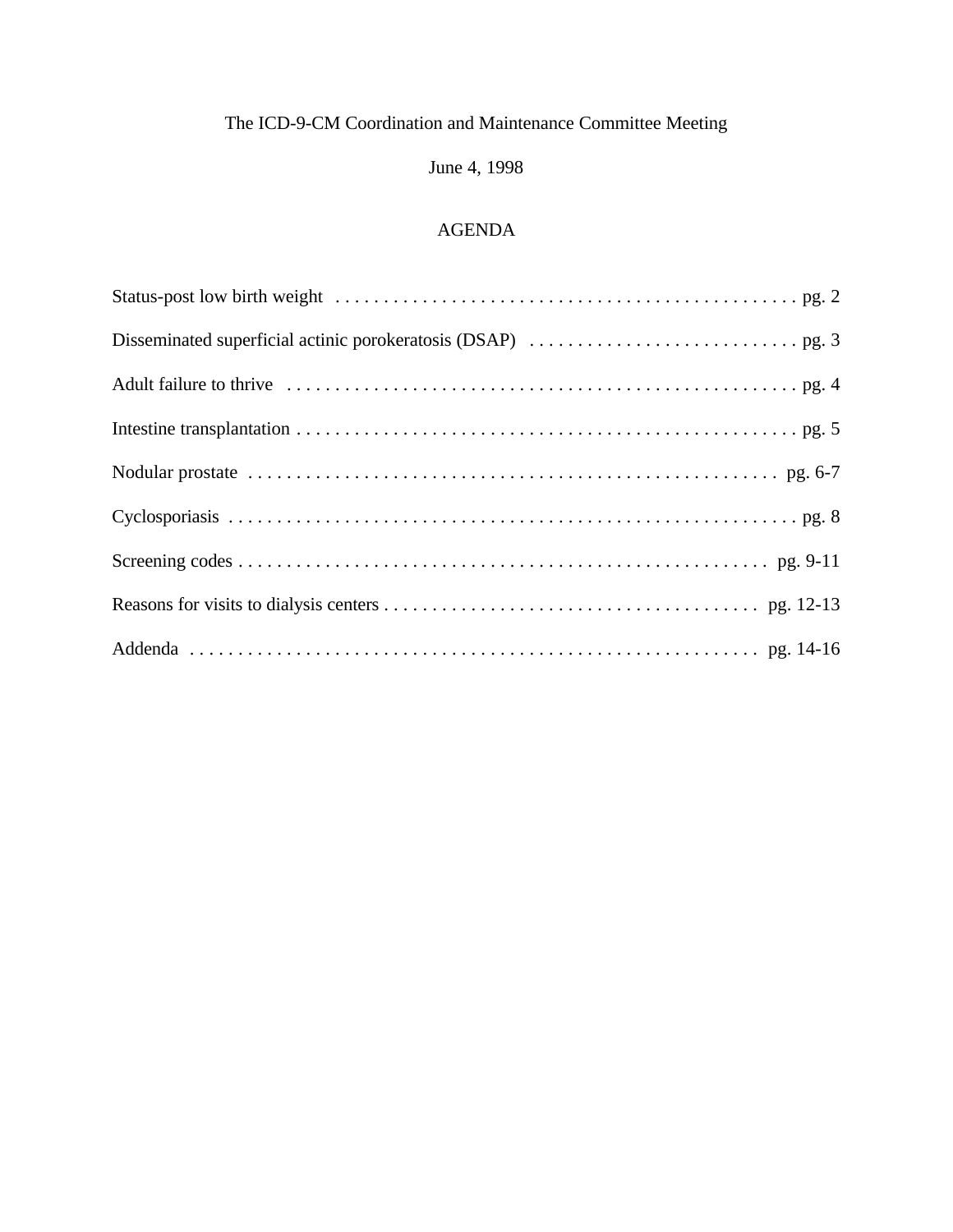# June 4, 1998

# AGENDA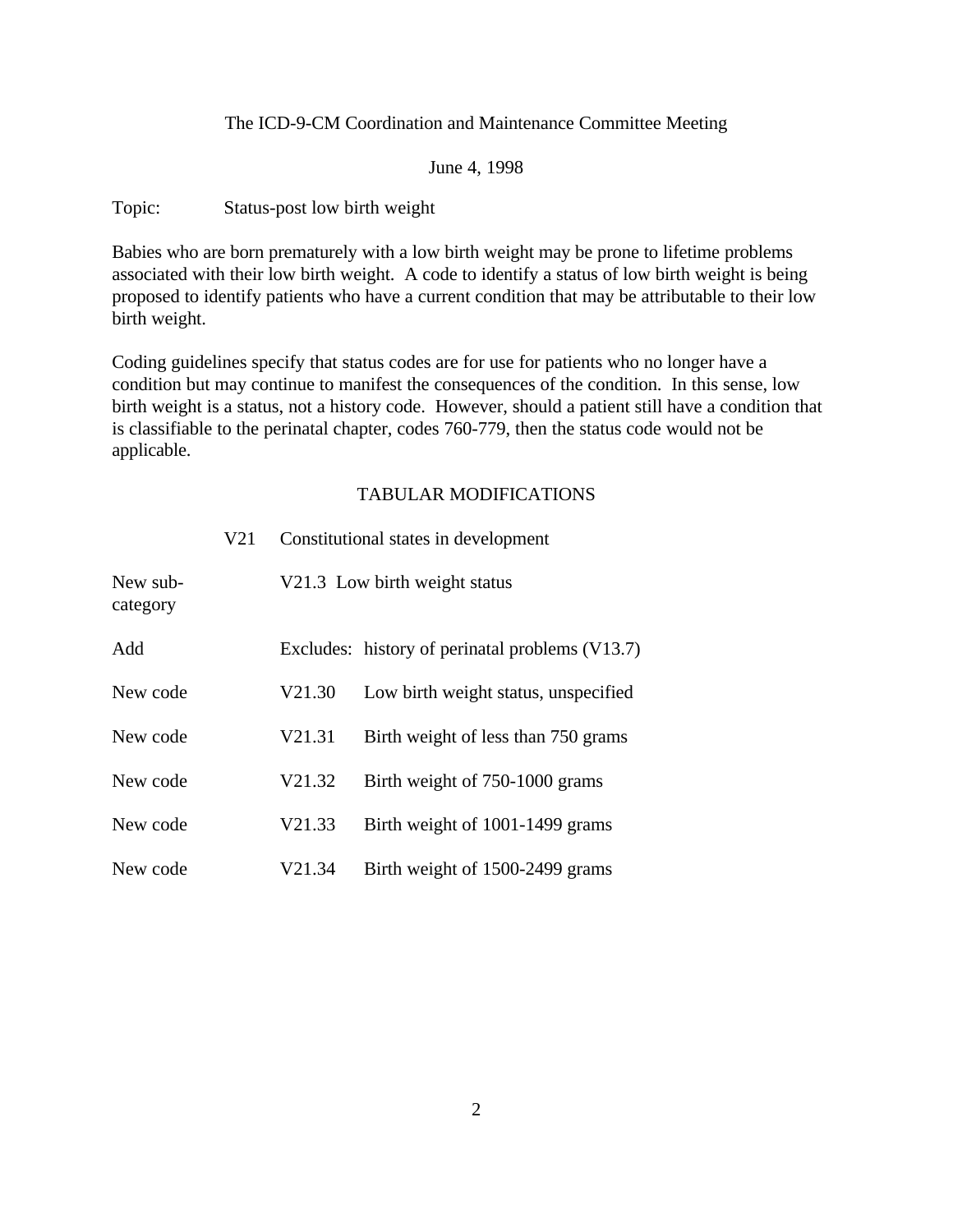June 4, 1998

Topic: Status-post low birth weight

Babies who are born prematurely with a low birth weight may be prone to lifetime problems associated with their low birth weight. A code to identify a status of low birth weight is being proposed to identify patients who have a current condition that may be attributable to their low birth weight.

Coding guidelines specify that status codes are for use for patients who no longer have a condition but may continue to manifest the consequences of the condition. In this sense, low birth weight is a status, not a history code. However, should a patient still have a condition that is classifiable to the perinatal chapter, codes 760-779, then the status code would not be applicable.

|                      | V <sub>21</sub> |        | Constitutional states in development            |
|----------------------|-----------------|--------|-------------------------------------------------|
| New sub-<br>category |                 |        | V21.3 Low birth weight status                   |
| Add                  |                 |        | Excludes: history of perinatal problems (V13.7) |
| New code             |                 | V21.30 | Low birth weight status, unspecified            |
| New code             |                 | V21.31 | Birth weight of less than 750 grams             |
| New code             |                 | V21.32 | Birth weight of 750-1000 grams                  |
| New code             |                 | V21.33 | Birth weight of 1001-1499 grams                 |
| New code             |                 | V21.34 | Birth weight of 1500-2499 grams                 |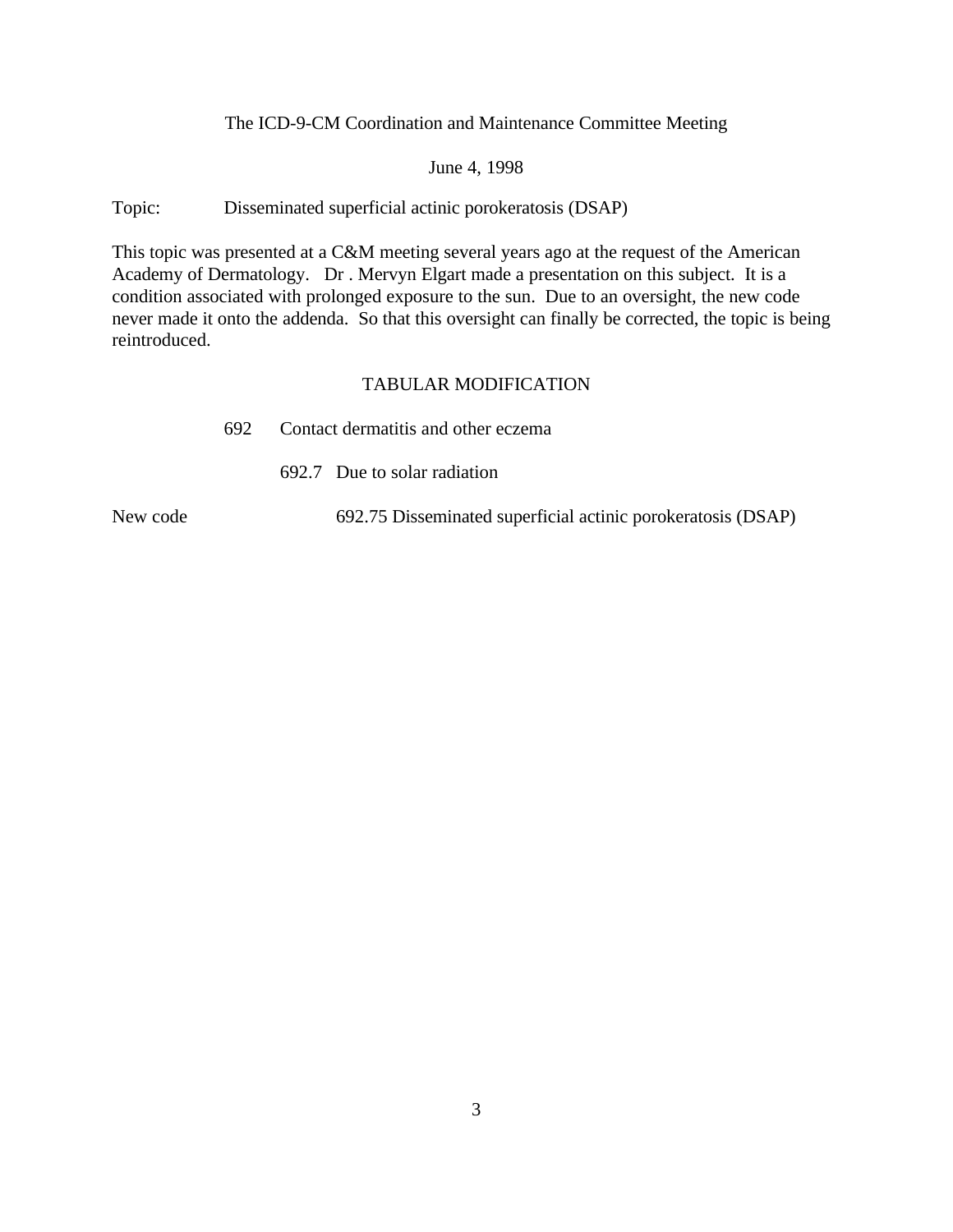#### June 4, 1998

Topic: Disseminated superficial actinic porokeratosis (DSAP)

This topic was presented at a C&M meeting several years ago at the request of the American Academy of Dermatology. Dr . Mervyn Elgart made a presentation on this subject. It is a condition associated with prolonged exposure to the sun. Due to an oversight, the new code never made it onto the addenda. So that this oversight can finally be corrected, the topic is being reintroduced.

### TABULAR MODIFICATION

| 692 | Contact dermatitis and other eczema |  |  |
|-----|-------------------------------------|--|--|
|     |                                     |  |  |

692.7 Due to solar radiation

New code 692.75 Disseminated superficial actinic porokeratosis (DSAP)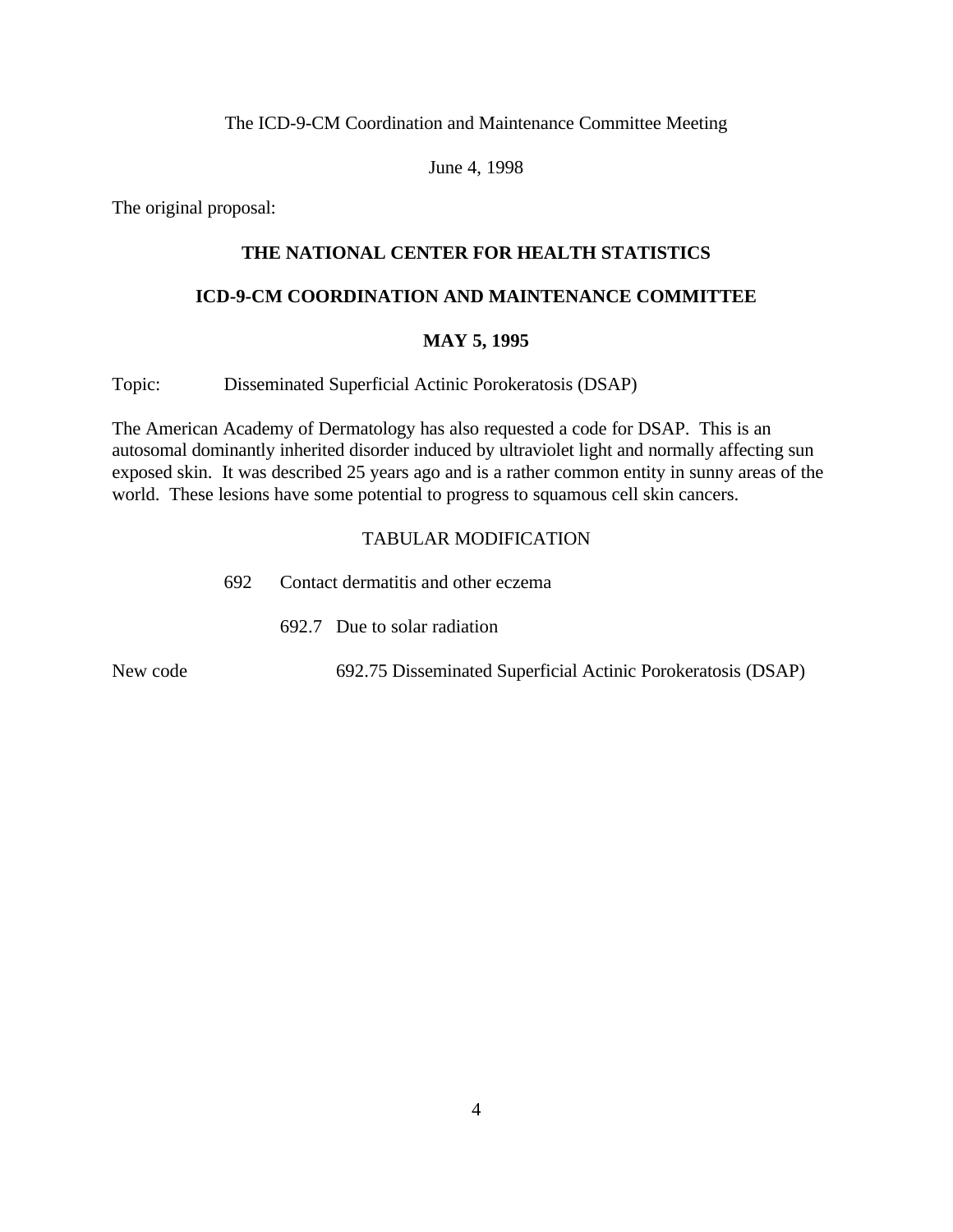June 4, 1998

The original proposal:

### **THE NATIONAL CENTER FOR HEALTH STATISTICS**

#### **ICD-9-CM COORDINATION AND MAINTENANCE COMMITTEE**

#### **MAY 5, 1995**

Topic: Disseminated Superficial Actinic Porokeratosis (DSAP)

The American Academy of Dermatology has also requested a code for DSAP. This is an autosomal dominantly inherited disorder induced by ultraviolet light and normally affecting sun exposed skin. It was described 25 years ago and is a rather common entity in sunny areas of the world. These lesions have some potential to progress to squamous cell skin cancers.

|          | 692. | Contact dermatitis and other eczema                          |
|----------|------|--------------------------------------------------------------|
|          |      | 692.7 Due to solar radiation                                 |
| New code |      | 692.75 Disseminated Superficial Actinic Porokeratosis (DSAP) |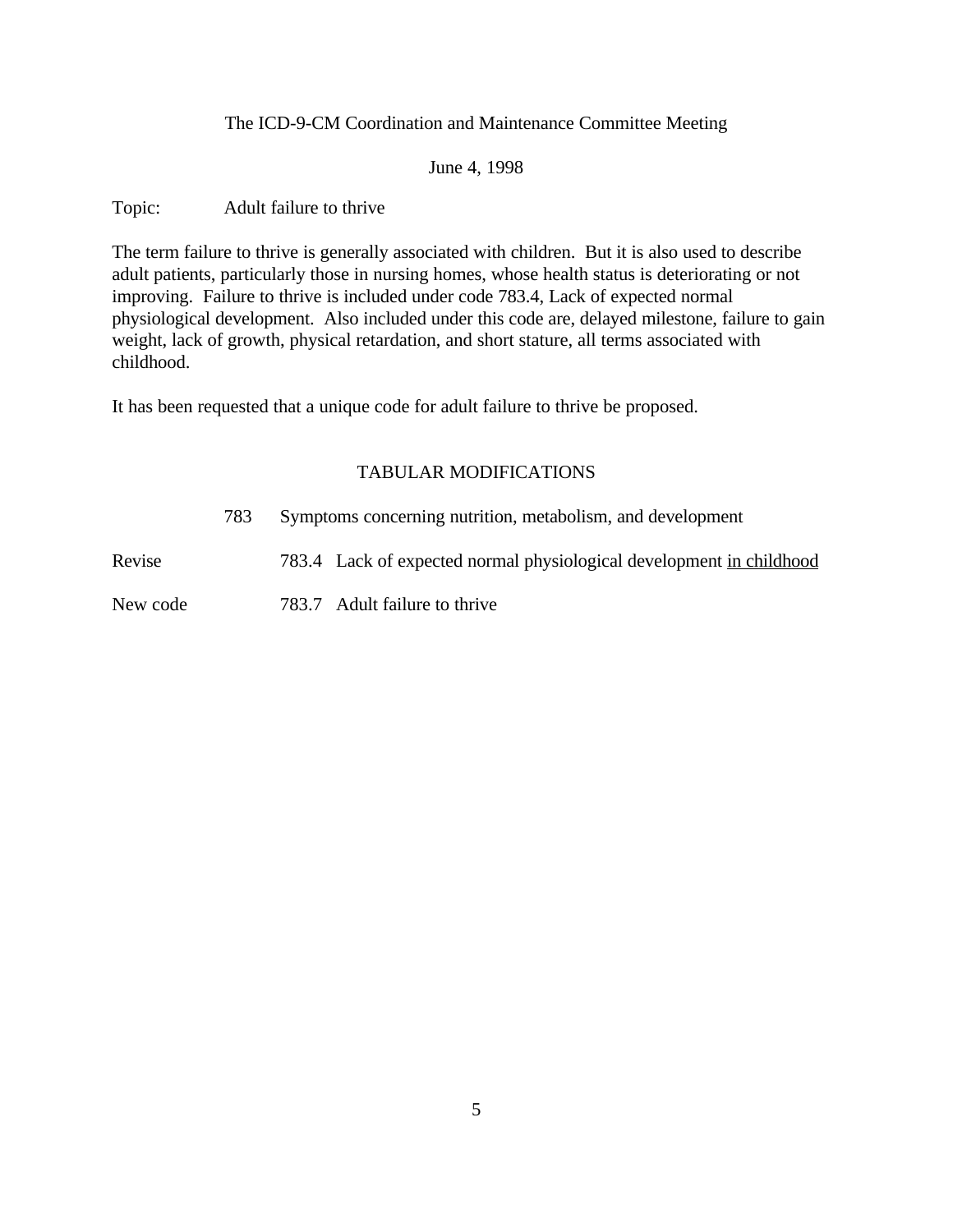June 4, 1998

Topic: Adult failure to thrive

The term failure to thrive is generally associated with children. But it is also used to describe adult patients, particularly those in nursing homes, whose health status is deteriorating or not improving. Failure to thrive is included under code 783.4, Lack of expected normal physiological development. Also included under this code are, delayed milestone, failure to gain weight, lack of growth, physical retardation, and short stature, all terms associated with childhood.

It has been requested that a unique code for adult failure to thrive be proposed.

### TABULAR MODIFICATIONS

783 Symptoms concerning nutrition, metabolism, and development

Revise 783.4 Lack of expected normal physiological development in childhood

New code 783.7 Adult failure to thrive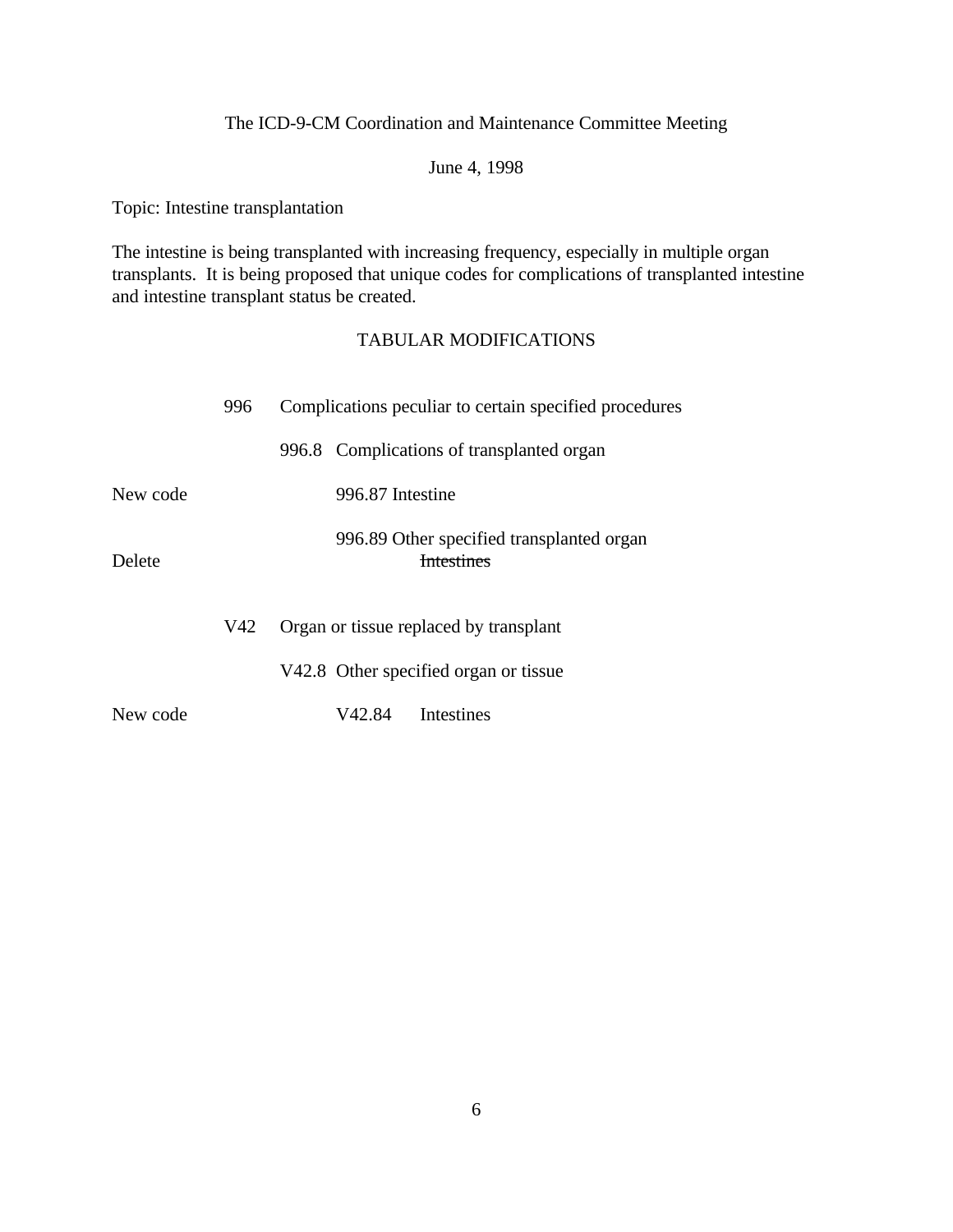June 4, 1998

Topic: Intestine transplantation

The intestine is being transplanted with increasing frequency, especially in multiple organ transplants. It is being proposed that unique codes for complications of transplanted intestine and intestine transplant status be created.

|          | 996 | Complications peculiar to certain specified procedures         |
|----------|-----|----------------------------------------------------------------|
|          |     | 996.8 Complications of transplanted organ                      |
| New code |     | 996.87 Intestine                                               |
| Delete   |     | 996.89 Other specified transplanted organ<br><b>Intestines</b> |
|          | V42 | Organ or tissue replaced by transplant                         |
|          |     | V42.8 Other specified organ or tissue                          |
| New code |     | Intestines<br>V42.84                                           |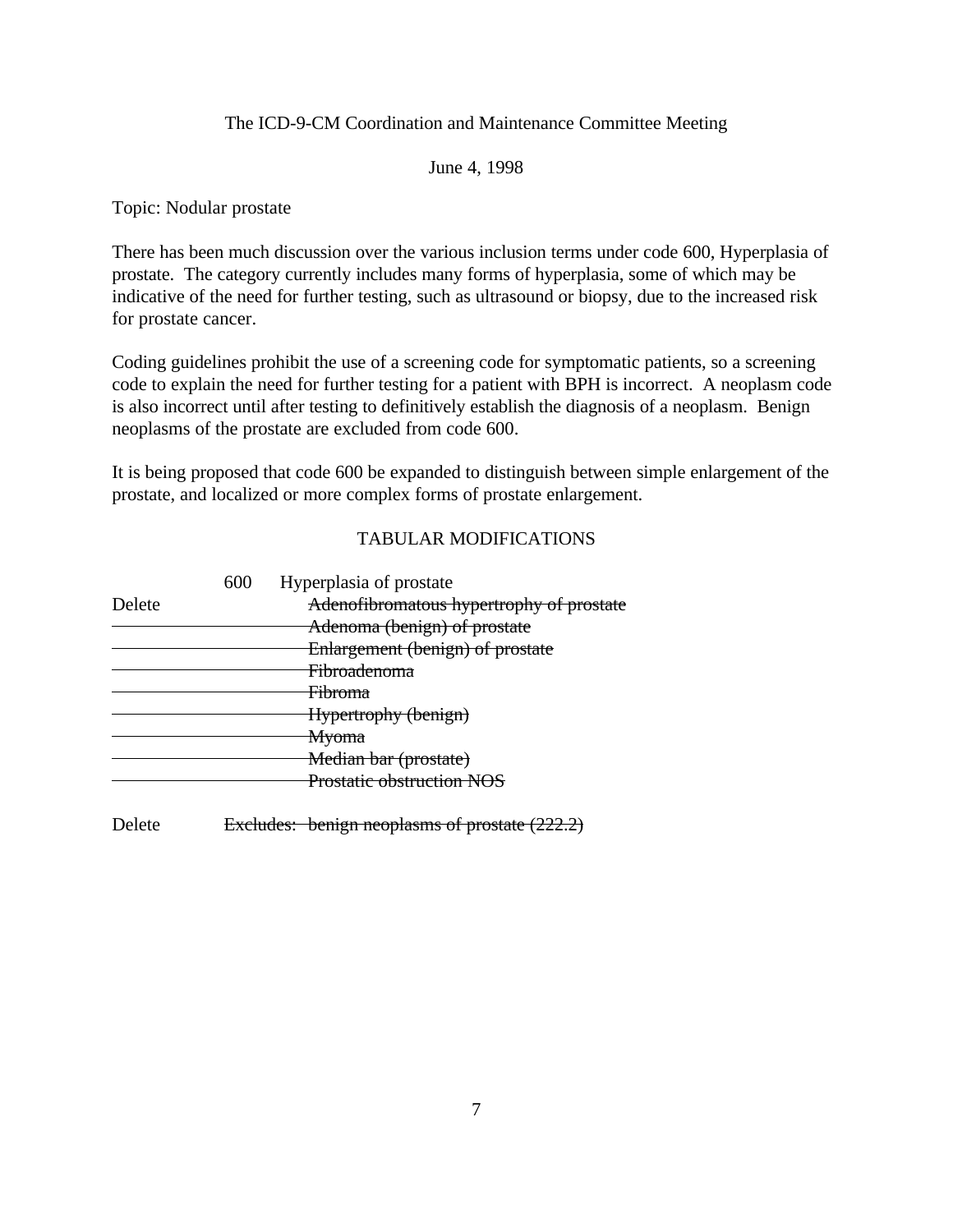June 4, 1998

Topic: Nodular prostate

There has been much discussion over the various inclusion terms under code 600, Hyperplasia of prostate. The category currently includes many forms of hyperplasia, some of which may be indicative of the need for further testing, such as ultrasound or biopsy, due to the increased risk for prostate cancer.

Coding guidelines prohibit the use of a screening code for symptomatic patients, so a screening code to explain the need for further testing for a patient with BPH is incorrect. A neoplasm code is also incorrect until after testing to definitively establish the diagnosis of a neoplasm. Benign neoplasms of the prostate are excluded from code 600.

It is being proposed that code 600 be expanded to distinguish between simple enlargement of the prostate, and localized or more complex forms of prostate enlargement.

### TABULAR MODIFICATIONS

|        | 600 | Hyperplasia of prostate                  |
|--------|-----|------------------------------------------|
| Delete |     | Adenofibromatous hypertrophy of prostate |
|        |     | Adenoma (benign) of prostate             |
|        |     | Enlargement (benign) of prostate         |
|        |     | <del>Fibroadenoma</del>                  |
|        |     | <del>Fibroma</del>                       |
|        |     | Hypertrophy (benign)                     |
|        |     | <del>Myoma</del>                         |
|        |     | Median bar (prostate)                    |
|        |     | <b>Prostatic obstruction NOS</b>         |
|        |     |                                          |

Delete Excludes: benign neoplasms of prostate (222.2)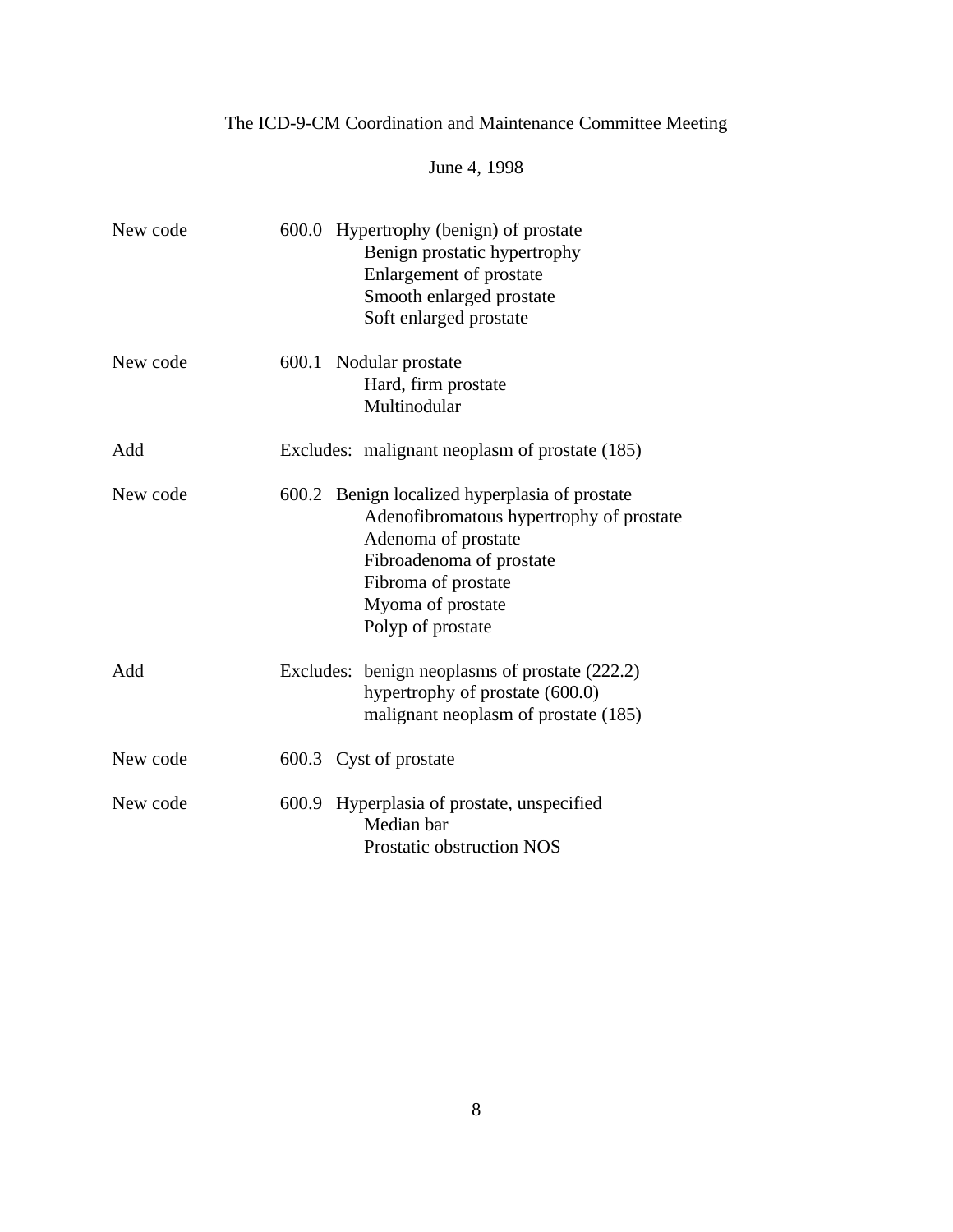# June 4, 1998

| New code | 600.0 Hypertrophy (benign) of prostate<br>Benign prostatic hypertrophy<br>Enlargement of prostate<br>Smooth enlarged prostate<br>Soft enlarged prostate                                                        |
|----------|----------------------------------------------------------------------------------------------------------------------------------------------------------------------------------------------------------------|
| New code | 600.1 Nodular prostate<br>Hard, firm prostate<br>Multinodular                                                                                                                                                  |
| Add      | Excludes: malignant neoplasm of prostate (185)                                                                                                                                                                 |
| New code | 600.2 Benign localized hyperplasia of prostate<br>Adenofibromatous hypertrophy of prostate<br>Adenoma of prostate<br>Fibroadenoma of prostate<br>Fibroma of prostate<br>Myoma of prostate<br>Polyp of prostate |
| Add      | Excludes: benign neoplasms of prostate (222.2)<br>hypertrophy of prostate (600.0)<br>malignant neoplasm of prostate (185)                                                                                      |
| New code | 600.3 Cyst of prostate                                                                                                                                                                                         |
| New code | 600.9 Hyperplasia of prostate, unspecified<br>Median bar<br>Prostatic obstruction NOS                                                                                                                          |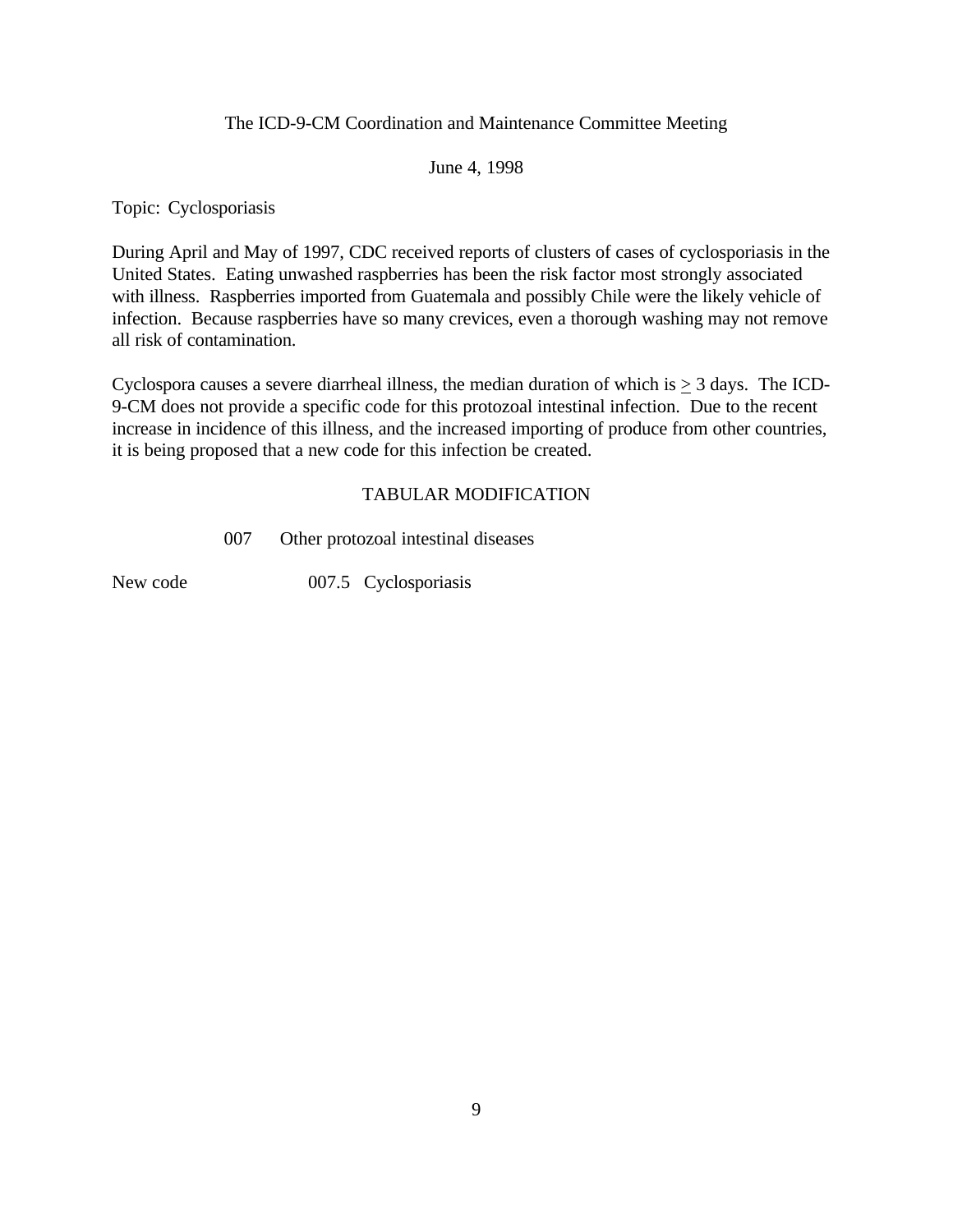#### June 4, 1998

Topic: Cyclosporiasis

During April and May of 1997, CDC received reports of clusters of cases of cyclosporiasis in the United States. Eating unwashed raspberries has been the risk factor most strongly associated with illness. Raspberries imported from Guatemala and possibly Chile were the likely vehicle of infection. Because raspberries have so many crevices, even a thorough washing may not remove all risk of contamination.

Cyclospora causes a severe diarrheal illness, the median duration of which is  $\geq 3$  days. The ICD-9-CM does not provide a specific code for this protozoal intestinal infection. Due to the recent increase in incidence of this illness, and the increased importing of produce from other countries, it is being proposed that a new code for this infection be created.

#### TABULAR MODIFICATION

007 Other protozoal intestinal diseases

New code 007.5 Cyclosporiasis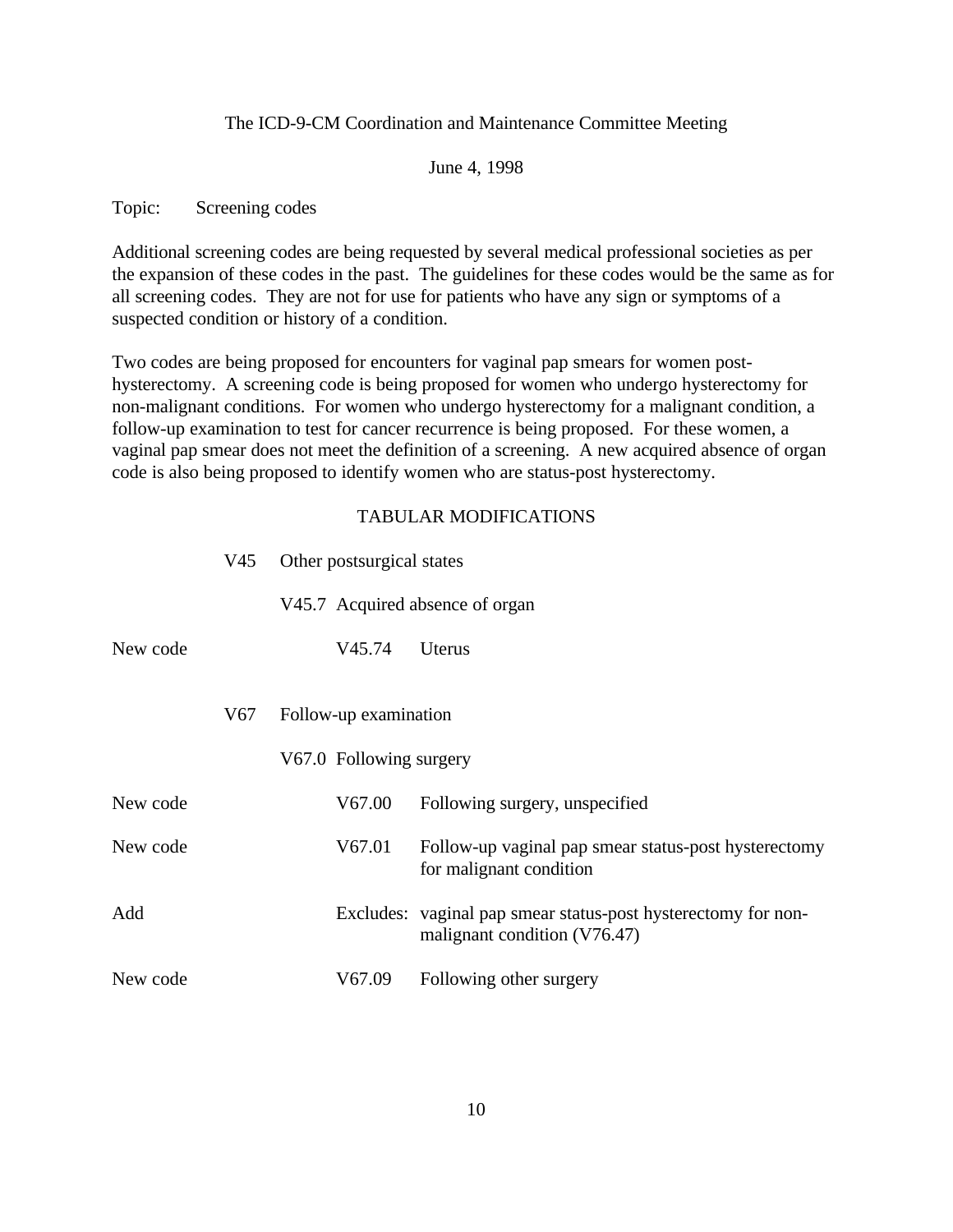#### June 4, 1998

#### Topic: Screening codes

Additional screening codes are being requested by several medical professional societies as per the expansion of these codes in the past. The guidelines for these codes would be the same as for all screening codes. They are not for use for patients who have any sign or symptoms of a suspected condition or history of a condition.

Two codes are being proposed for encounters for vaginal pap smears for women posthysterectomy. A screening code is being proposed for women who undergo hysterectomy for non-malignant conditions. For women who undergo hysterectomy for a malignant condition, a follow-up examination to test for cancer recurrence is being proposed. For these women, a vaginal pap smear does not meet the definition of a screening. A new acquired absence of organ code is also being proposed to identify women who are status-post hysterectomy.

|          | V45 | Other postsurgical states       |                                                                                               |
|----------|-----|---------------------------------|-----------------------------------------------------------------------------------------------|
|          |     | V45.7 Acquired absence of organ |                                                                                               |
| New code |     | V45.74                          | Uterus                                                                                        |
|          |     |                                 |                                                                                               |
|          | V67 | Follow-up examination           |                                                                                               |
|          |     | V67.0 Following surgery         |                                                                                               |
| New code |     | V67.00                          | Following surgery, unspecified                                                                |
| New code |     | V67.01                          | Follow-up vaginal pap smear status-post hysterectomy<br>for malignant condition               |
| Add      |     |                                 | Excludes: vaginal pap smear status-post hysterectomy for non-<br>malignant condition (V76.47) |
| New code |     | V67.09                          | Following other surgery                                                                       |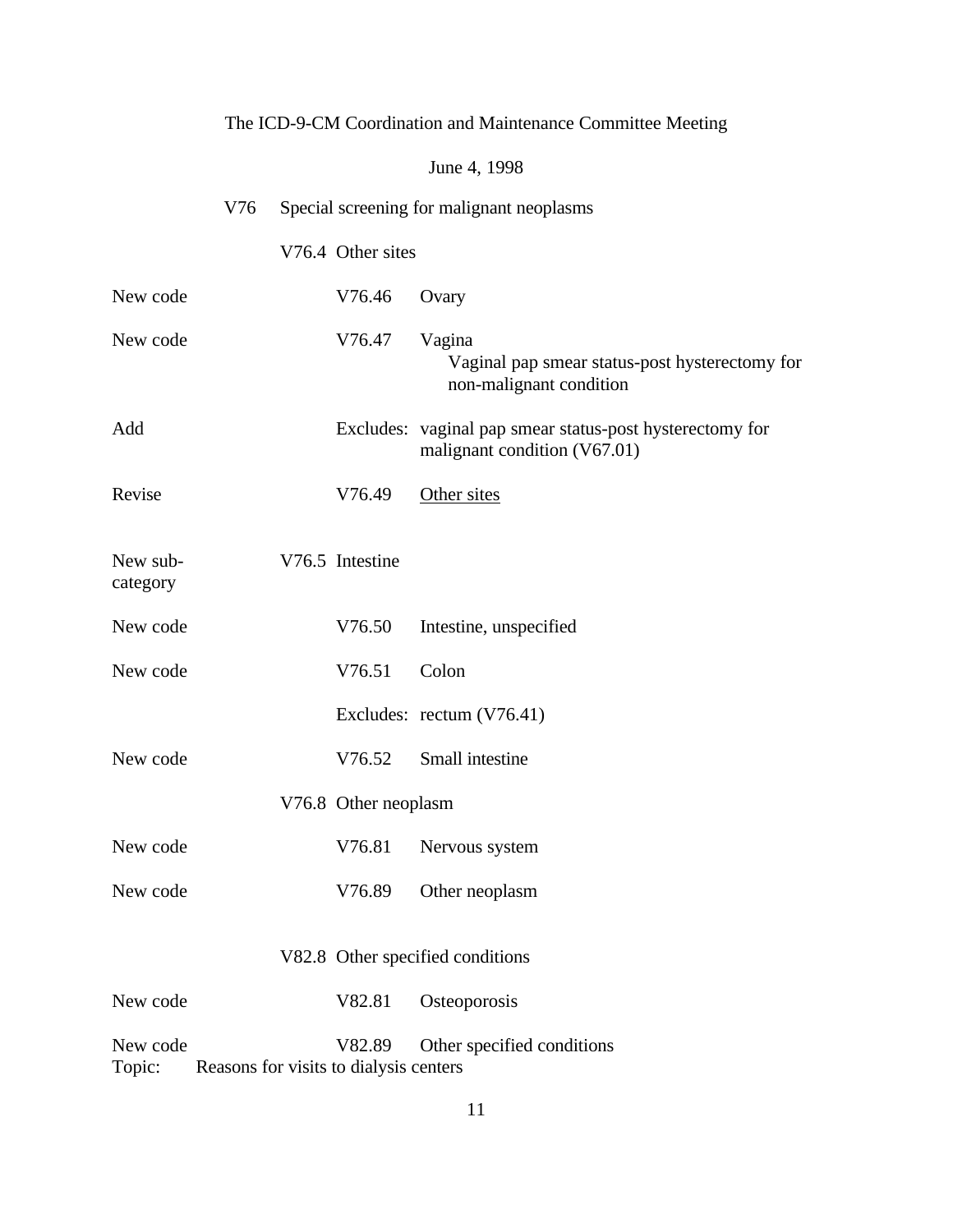|                      |     |                                                  | June 4, 1998                                                                             |
|----------------------|-----|--------------------------------------------------|------------------------------------------------------------------------------------------|
|                      | V76 |                                                  | Special screening for malignant neoplasms                                                |
|                      |     | V76.4 Other sites                                |                                                                                          |
| New code             |     | V76.46                                           | Ovary                                                                                    |
| New code             |     | V76.47                                           | Vagina<br>Vaginal pap smear status-post hysterectomy for<br>non-malignant condition      |
| Add                  |     |                                                  | Excludes: vaginal pap smear status-post hysterectomy for<br>malignant condition (V67.01) |
| Revise               |     | V76.49                                           | Other sites                                                                              |
| New sub-<br>category |     | V76.5 Intestine                                  |                                                                                          |
| New code             |     | V76.50                                           | Intestine, unspecified                                                                   |
| New code             |     | V76.51                                           | Colon                                                                                    |
|                      |     |                                                  | Excludes: rectum (V76.41)                                                                |
| New code             |     | V76.52                                           | Small intestine                                                                          |
|                      |     | V76.8 Other neoplasm                             |                                                                                          |
| New code             |     |                                                  | V76.81 Nervous system                                                                    |
| New code             |     | V76.89                                           | Other neoplasm                                                                           |
|                      |     |                                                  | V82.8 Other specified conditions                                                         |
| New code             |     | V82.81                                           | Osteoporosis                                                                             |
| New code<br>Topic:   |     | V82.89<br>Reasons for visits to dialysis centers | Other specified conditions                                                               |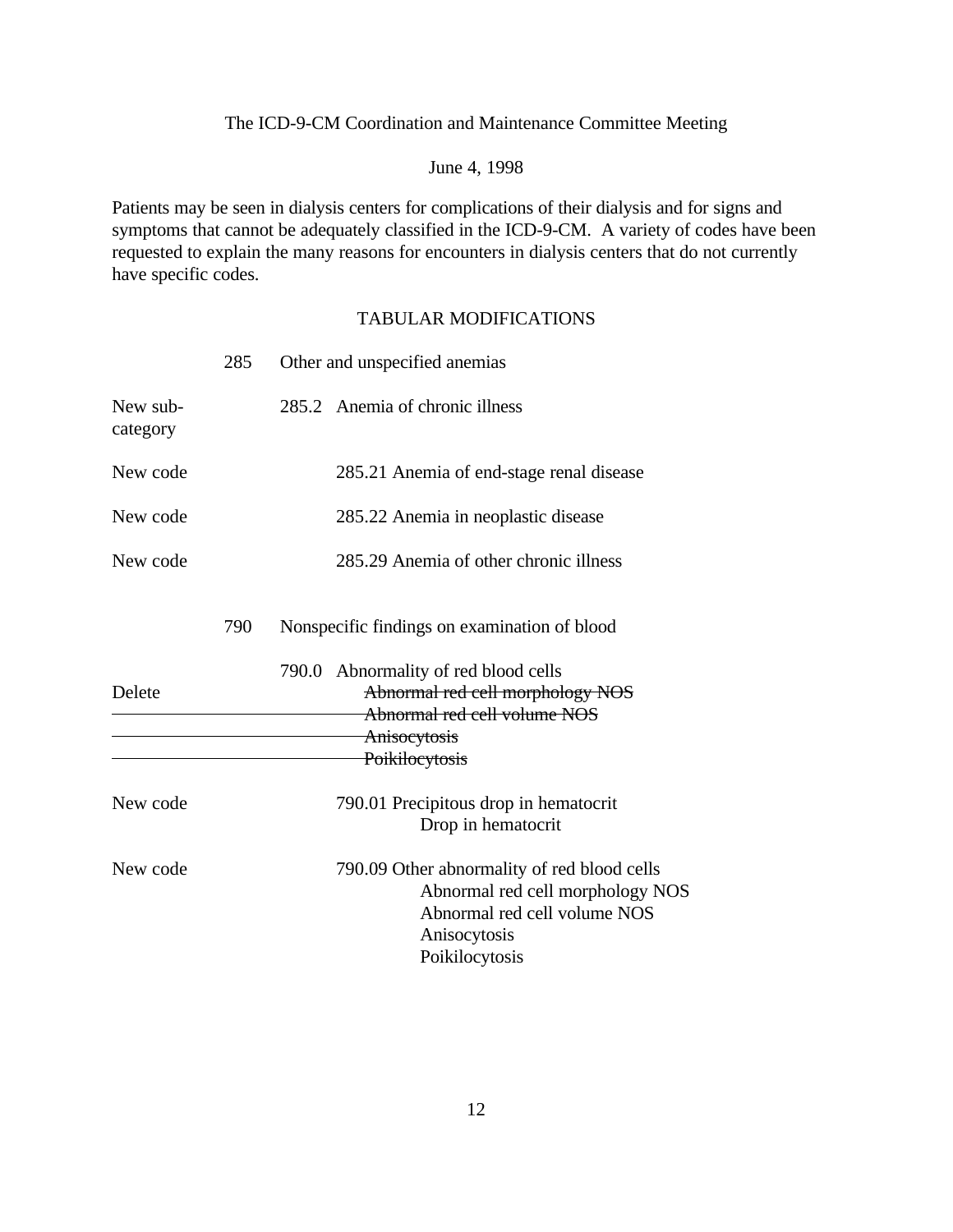### June 4, 1998

Patients may be seen in dialysis centers for complications of their dialysis and for signs and symptoms that cannot be adequately classified in the ICD-9-CM. A variety of codes have been requested to explain the many reasons for encounters in dialysis centers that do not currently have specific codes.

|                      | 285 | Other and unspecified anemias                                                                                                                     |
|----------------------|-----|---------------------------------------------------------------------------------------------------------------------------------------------------|
| New sub-<br>category |     | 285.2 Anemia of chronic illness                                                                                                                   |
| New code             |     | 285.21 Anemia of end-stage renal disease                                                                                                          |
| New code             |     | 285.22 Anemia in neoplastic disease                                                                                                               |
| New code             |     | 285.29 Anemia of other chronic illness                                                                                                            |
|                      | 790 | Nonspecific findings on examination of blood                                                                                                      |
| Delete               |     | 790.0 Abnormality of red blood cells<br>Abnormal red cell morphology NOS<br>Abnormal red cell volume NOS<br>Anisocytosis<br>Poikilocytosis        |
| New code             |     | 790.01 Precipitous drop in hematocrit<br>Drop in hematocrit                                                                                       |
| New code             |     | 790.09 Other abnormality of red blood cells<br>Abnormal red cell morphology NOS<br>Abnormal red cell volume NOS<br>Anisocytosis<br>Poikilocytosis |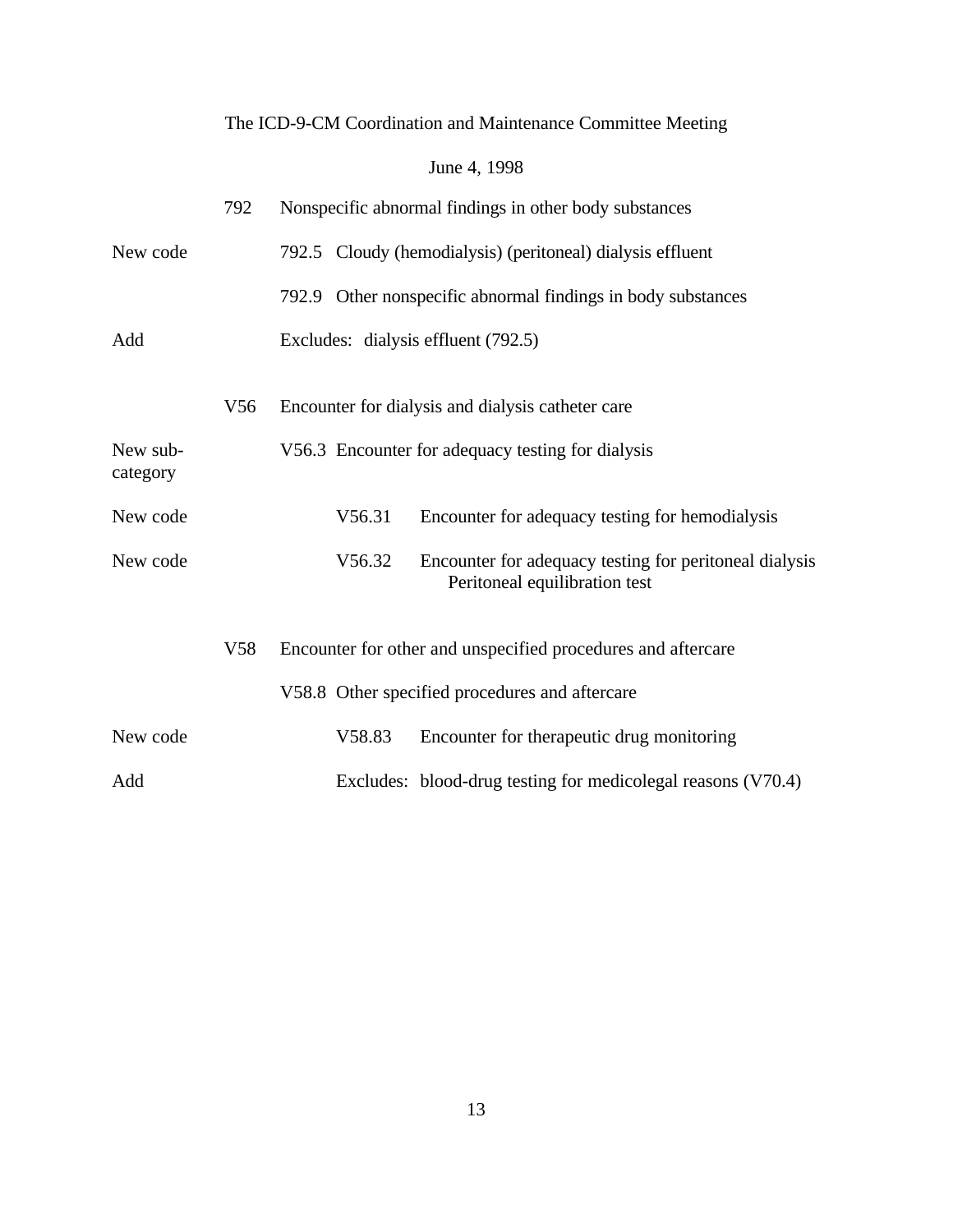# June 4, 1998

|                      | 792             | Nonspecific abnormal findings in other body substances                                            |
|----------------------|-----------------|---------------------------------------------------------------------------------------------------|
| New code             |                 | 792.5 Cloudy (hemodialysis) (peritoneal) dialysis effluent                                        |
|                      |                 | 792.9 Other nonspecific abnormal findings in body substances                                      |
| Add                  |                 | Excludes: dialysis effluent (792.5)                                                               |
|                      | V <sub>56</sub> | Encounter for dialysis and dialysis catheter care                                                 |
| New sub-<br>category |                 | V56.3 Encounter for adequacy testing for dialysis                                                 |
| New code             |                 | V56.31<br>Encounter for adequacy testing for hemodialysis                                         |
| New code             |                 | V56.32<br>Encounter for adequacy testing for peritoneal dialysis<br>Peritoneal equilibration test |
|                      | V <sub>58</sub> | Encounter for other and unspecified procedures and aftercare                                      |
|                      |                 | V58.8 Other specified procedures and aftercare                                                    |
| New code             |                 | V58.83<br>Encounter for therapeutic drug monitoring                                               |
| Add                  |                 | Excludes: blood-drug testing for medicolegal reasons (V70.4)                                      |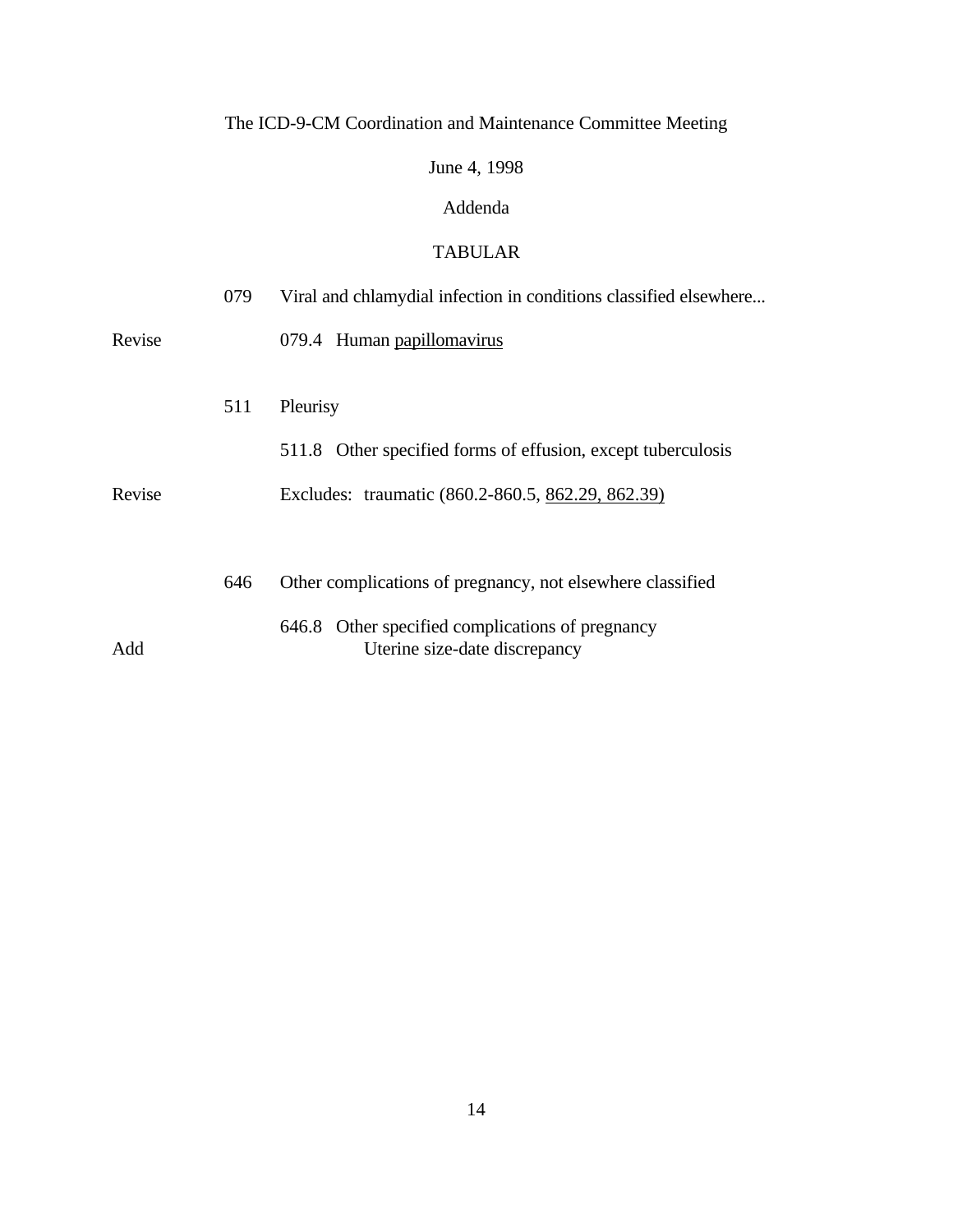# June 4, 1998

## Addenda

## TABULAR

|        | 079 | Viral and chlamydial infection in conditions classified elsewhere                 |
|--------|-----|-----------------------------------------------------------------------------------|
| Revise |     | 079.4 Human papillomavirus                                                        |
|        | 511 | Pleurisy                                                                          |
|        |     | 511.8 Other specified forms of effusion, except tuberculosis                      |
| Revise |     | Excludes: traumatic (860.2-860.5, 862.29, 862.39)                                 |
|        |     |                                                                                   |
|        | 646 | Other complications of pregnancy, not elsewhere classified                        |
| Add    |     | 646.8 Other specified complications of pregnancy<br>Uterine size-date discrepancy |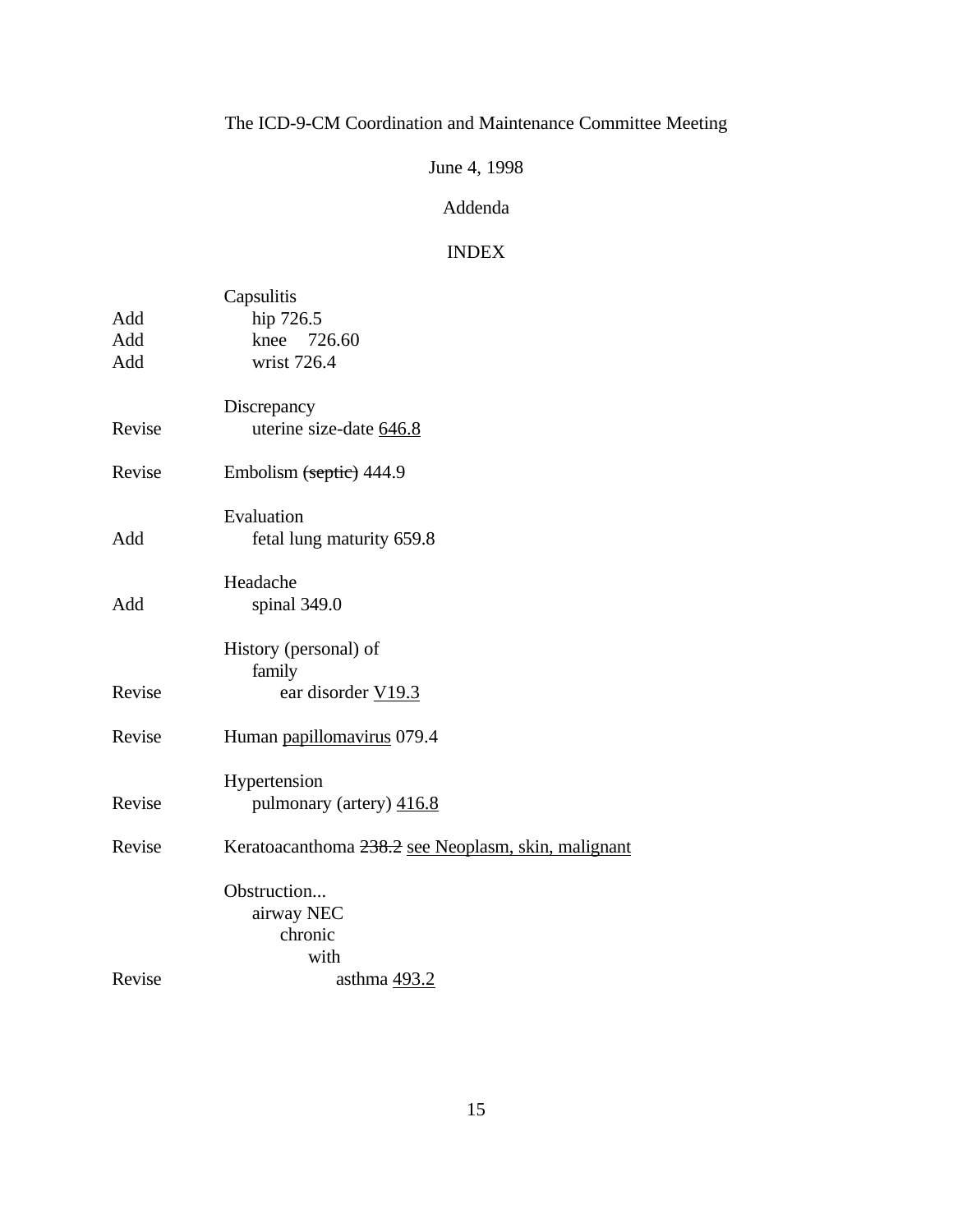# June 4, 1998

## Addenda

## INDEX

|        | Capsulitis                                          |
|--------|-----------------------------------------------------|
| Add    | hip 726.5                                           |
| Add    | knee 726.60                                         |
| Add    | wrist 726.4                                         |
|        | Discrepancy                                         |
| Revise | uterine size-date 646.8                             |
| Revise | Embolism (septic) 444.9                             |
|        | Evaluation                                          |
| Add    | fetal lung maturity 659.8                           |
|        | Headache                                            |
| Add    | spinal 349.0                                        |
|        | History (personal) of                               |
|        | family                                              |
| Revise | ear disorder V19.3                                  |
| Revise | Human papillomavirus 079.4                          |
|        | Hypertension                                        |
| Revise | pulmonary (artery) 416.8                            |
| Revise | Keratoacanthoma 238.2 see Neoplasm, skin, malignant |
|        | Obstruction                                         |
|        | airway NEC                                          |
|        | chronic                                             |
|        | with                                                |
| Revise | asthma 493.2                                        |